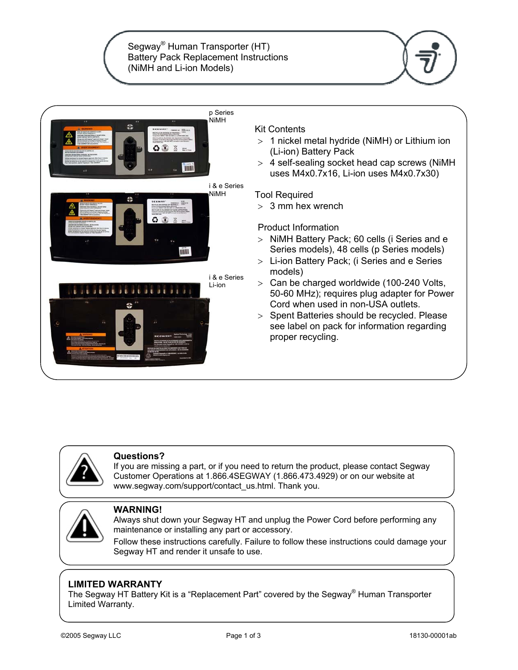Segway® Human Transporter (HT) Battery Pack Replacement Instructions (NiMH and Li-ion Models)







### **Questions?**

If you are missing a part, or if you need to return the product, please contact Segway Customer Operations at 1.866.4SEGWAY (1.866.473.4929) or on our website at www.segway.com/support/contact\_us.html. Thank you.



### **WARNING!**

Always shut down your Segway HT and unplug the Power Cord before performing any maintenance or installing any part or accessory.

Follow these instructions carefully. Failure to follow these instructions could damage your Segway HT and render it unsafe to use.

## **LIMITED WARRANTY**

The Segway HT Battery Kit is a "Replacement Part" covered by the Segway<sup>®</sup> Human Transporter Limited Warranty.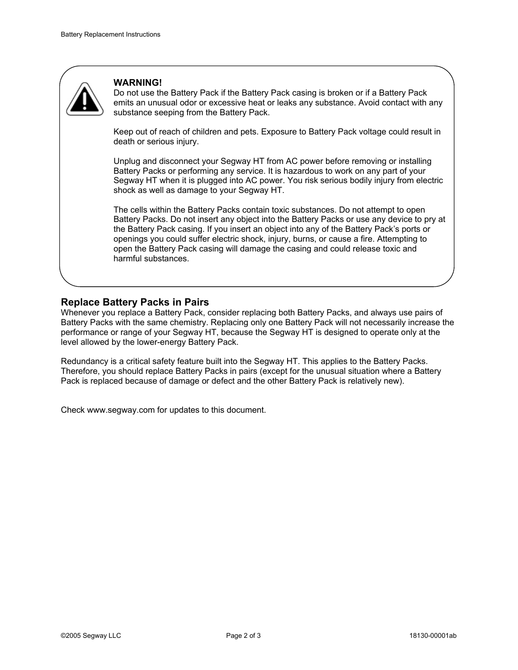

#### **WARNING!**

Do not use the Battery Pack if the Battery Pack casing is broken or if a Battery Pack emits an unusual odor or excessive heat or leaks any substance. Avoid contact with any substance seeping from the Battery Pack.

Keep out of reach of children and pets. Exposure to Battery Pack voltage could result in death or serious injury.

Unplug and disconnect your Segway HT from AC power before removing or installing Battery Packs or performing any service. It is hazardous to work on any part of your Segway HT when it is plugged into AC power. You risk serious bodily injury from electric shock as well as damage to your Segway HT.

The cells within the Battery Packs contain toxic substances. Do not attempt to open Battery Packs. Do not insert any object into the Battery Packs or use any device to pry at the Battery Pack casing. If you insert an object into any of the Battery Pack's ports or openings you could suffer electric shock, injury, burns, or cause a fire. Attempting to open the Battery Pack casing will damage the casing and could release toxic and harmful substances.

## **Replace Battery Packs in Pairs**

Whenever you replace a Battery Pack, consider replacing both Battery Packs, and always use pairs of Battery Packs with the same chemistry. Replacing only one Battery Pack will not necessarily increase the performance or range of your Segway HT, because the Segway HT is designed to operate only at the level allowed by the lower-energy Battery Pack.

Redundancy is a critical safety feature built into the Segway HT. This applies to the Battery Packs. Therefore, you should replace Battery Packs in pairs (except for the unusual situation where a Battery Pack is replaced because of damage or defect and the other Battery Pack is relatively new).

Check www.segway.com for updates to this document.